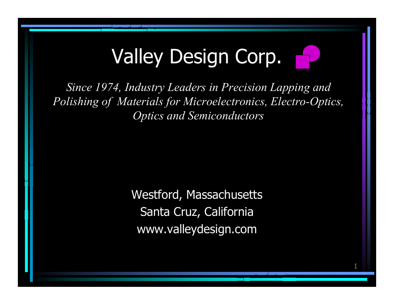# Valley Design Corp.

*Since 1974, Industry Leaders in Precision Lapping and Polishing of Materials for Microelectronics, Electro-Optics, Optics and Semiconductors*

> Westford, Massachusetts Santa Cruz, California www.valleydesign.com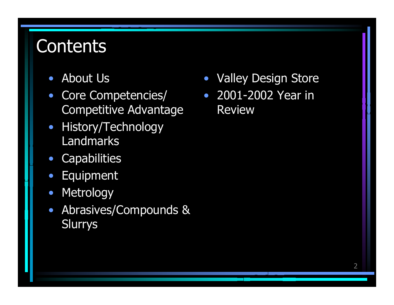### **Contents**

- $\bullet$ About Us
- $\bullet$  Core Competencies/ Competitive Advantage
- $\bullet$ History/Technology Landmarks
- $\bullet$ **Capabilities**
- $\bullet$ Equipment
- $\bullet$ Metrology
- $\bullet$  Abrasives/Compounds & **Slurrys**
- Valley Design Store
- 2001-2002 Year in Review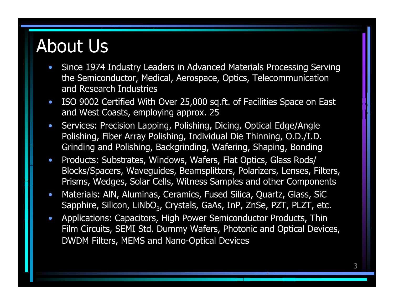### About Us

- • Since 1974 Industry Leaders in Advanced Materials Processing Serving the Semiconductor, Medical, Aerospace, Optics, Telecommunication and Research Industries
- $\bullet$  ISO 9002 Certified With Over 25,000 sq.ft. of Facilities Space on East and West Coasts, employing approx. 25
- • Services: Precision Lapping, Polishing, Dicing, Optical Edge/Angle Polishing, Fiber Array Polishing, Individual Die Thinning, O.D./I.D. Grinding and Polishing, Backgrinding, Wafering, Shaping, Bonding
- $\bullet$  Products: Substrates, Windows, Wafers, Flat Optics, Glass Rods/ Blocks/Spacers, Waveguides, Beamsplitters, Polarizers, Lenses, Filters, Prisms, Wedges, Solar Cells, Witness Samples and other Components
- • Materials: AlN, Aluminas, Ceramics, Fused Silica, Quartz, Glass, SiC Sapphire, Silicon, LiNbO<sub>3</sub>, Crystals, GaAs, InP, ZnSe, PZT, PLZT, etc.
- $\bullet$  Applications: Capacitors, High Power Semiconductor Products, Thin Film Circuits, SEMI Std. Dummy Wafers, Photonic and Optical Devices, DWDM Filters, MEMS and Nano-Optical Devices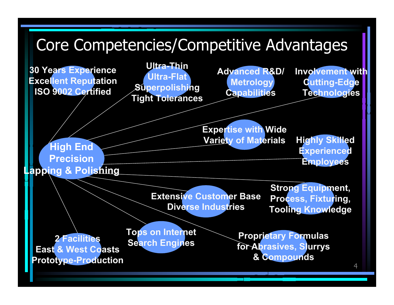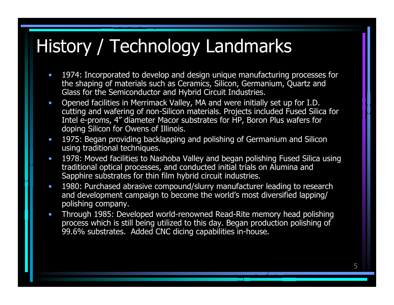# History / Technology Landmarks

- •• 1974: Incorporated to develop and design unique manufacturing processes for the shaping of materials such as Ceramics, Silicon, Germanium, Quartz and Glass for the Semiconductor and Hybrid Circuit Industries.
- $\bullet$ • Opened facilities in Merrimack Valley, MA and were initially set up for I.D. cutting and wafering of non-Silicon materials. Projects i ncluded Fus ed Silica for Intel e-proms, 4" diameter Macor substrates for HP, Boron Plus wafers for doping Silicon for Owens of Illinois.
- •• 1975: Began providing backlapping and polishing of Germanium and Silicon using traditional techniques.
- •• 1978: Moved facilities to Nashoba Valley and began polishing Fused Silica using traditional optical processes, and conducte d initial trials on Alumina and Sapphire substrates for thin film hybrid circuit industries.
- $\bullet$ • 1980: Purchased abrasive compound/slurry manufacturer leading to research and development campaign to become the world's most diversified lapping/ polishing company.
- $\bullet$ • Through 1985: Developed world-renowned Read-Rite memory head polishing process which is still being utilize d to this day. Began production polis hing of 99.6% s ubstrates. Added CNC dicing capabilities i n-hous e.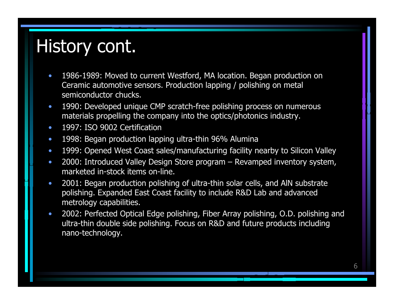## History cont.

- • 1986-1989: Moved to current Westford, MA location. Began production on Ceramic automotive sensors. Production lapping / polishing on metal semiconductor chucks.
- • 1990: Developed unique CMP scratch-free polishing process on numerous materials propelling the company into the optics/photonics industry.
- $\bullet$ 1997: ISO 9002 Certification
- $\bullet$ 1998: Began production lapping ultra-thin 96% Alumina
- •1999: Opened West Coast sales/manufacturing facility nearby to Silicon Valley
- • 2000: Introduced Valley Design Store program – Revamped inventory system, marketed in-stock items on-line.
- $\bullet$  2001: Began production polishing of ultra-thin solar cells, and AlN substrate polishing. Expanded East Coast facility to include R&D Lab and advanced metrology capabilities.
- • 2002: Perfected Optical Edge polishing, Fiber Array polishing, O.D. polishing and ultra-thin double side polishing. Focus on R&D and future products including nano-technology.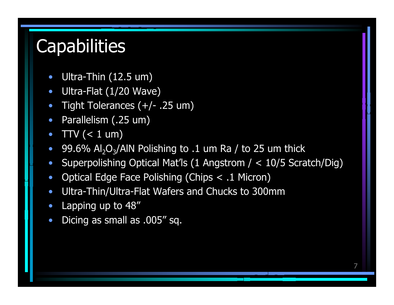### **Capabilities**

- $\bullet$ Ultra-Thin (12.5 um)
- $\bullet$ Ultra-Flat (1/20 Wave)
- $\bullet$ Tight Tolerances (+/- .25 um)
- $\bullet$ Parallelism (.25 um)
- $\bullet$  $TTV$  (< 1 um)
- $\bullet$ 99.6% Al<sub>2</sub>O<sub>3</sub>/AIN Polishing to .1 um Ra / to 25 um thick
- $\bullet$ Superpolishing Optical Mat'ls (1 Angstrom / < 10/5 Scratch/Dig)
- $\bullet$ Optical Edge Face Polishing (Chips < .1 Micron)
- $\bullet$ Ultra-Thin/Ultra-Flat Wafers and Chucks to 300mm
- $\bullet$ Lapping up to 48"
- $\bullet$ Dicing as small as .005" sq.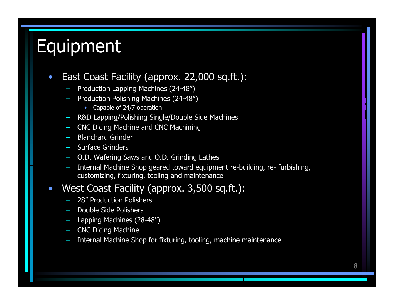### Equipment

#### $\bullet$ East Coast Facility (approx. 22,000 sq.ft.):

- Production Lapping Machines (24-48")
- Production Polishing Machines (24-48")
	- Capable of 24/7 operation
- R&D Lapping/Polishing Single/Double Side Machines
- CNC Dicing Machine and CNC Machining
- Blanchard Grinder
- Surface Grinders
- O.D. Wafering Saws and O.D. Grinding Lathes
- Internal Machine Shop geared toward equipment re-building, re- furbishing, customizing, fixturing, tooling and maintenance

#### $\bullet$ West Coast Facility (approx. 3,500 sq.ft.):

- 28" Production Polishers
- Double Side Polishers
- Lapping Machines (28-48")
- CNC Dicing Machine
- Internal Machine Shop for fixturing, tooling, machine maintenance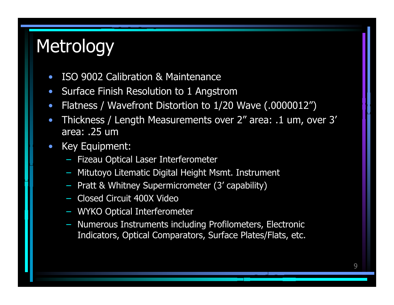### **Metrology**

- $\bullet$ ISO 9002 Calibration & Maintenance
- $\bullet$ Surface Finish Resolution to 1 Angstrom
- $\bullet$ Flatness / Wavefront Distortion to 1/20 Wave (.0000012")
- $\bullet$  Thickness / Length Measurements over 2" area: .1 um, over 3' area: .25 um
- $\bullet$  Key Equipment:
	- Fizeau Optical Laser Interferometer
	- Mitutoyo Litematic Digital Height Msmt. Instrument
	- Pratt & Whitney Supermicrometer (3' capability)
	- Closed Circuit 400X Video
	- WYKO Optical Interferometer
	- Numerous Instruments including Profilometers, Electronic Indicators, Optical Comparators, Surface Plates/Flats, etc.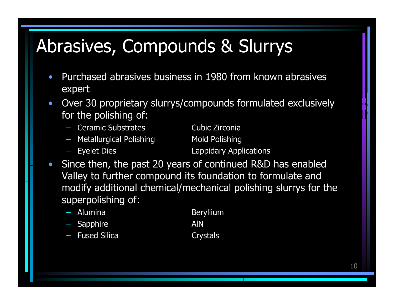# Abrasives, Compounds & Slurrys

- $\bullet$  Purchased abrasives business in 1980 from known abrasives expert
- $\bullet$  Over 30 proprietary slurrys/compounds formulated exclusively for the polishing of:
	- Ceramic Substrates Cubic Zirconia
	- Metallurgical Polishing

Mold Polishing **Lappidary Applications** 

- Eyelet Dies Lappidar
- $\bullet$  Since then, the past 20 years of continued R&D has enabled Valley to further compound its foundation to formulate and modify additional chemical/mechanical polishing slurrys for the superpolishing of:
	- Alumina
	- Sapphir e
	- Fused Silica
- B e ryllium AlN**Crystals** 
	-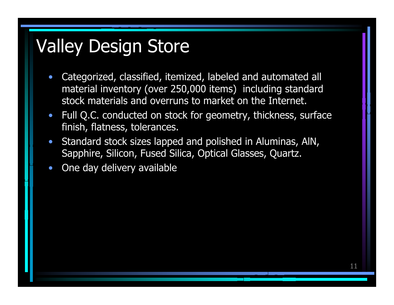### Valley Design Store

- $\bullet$  Categorized, classified, itemized, labeled and automated all material inventory (over 250,000 items) including standard stock materials and overruns to market on the Internet.
- $\bullet$  Full Q.C. conducted on stock for geometry, thickness, surface finish, flatness, tolerances.
- $\bullet$  Standard stock sizes lapped and polished in Aluminas, AlN, Sap phire, Silicon, Fused Silica, Optical Glasses, Qua rtz.
- $\bullet$ One day delivery available